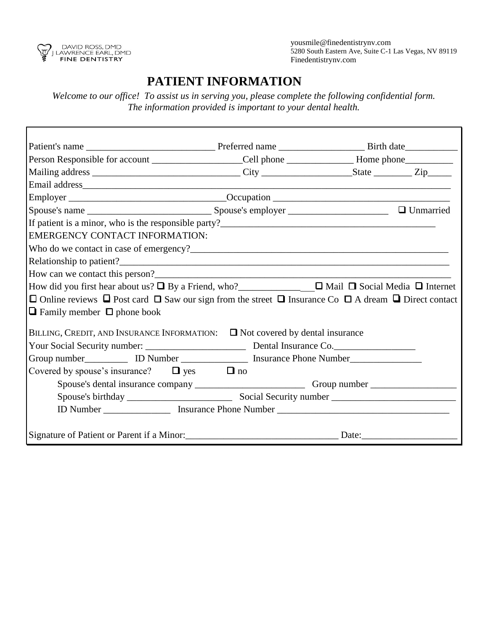

 yousmile@finedentistrynv.com 5280 South Eastern Ave, Suite C-1 Las Vegas, NV 89119 Finedentistrynv.com

## **PATIENT INFORMATION**

*Welcome to our office! To assist us in serving you, please complete the following confidential form. The information provided is important to your dental health.* 

| Person Responsible for account _________________Cell phone ___________________Home phone____________                                                                                                                                                                                                                                   |           |  |
|----------------------------------------------------------------------------------------------------------------------------------------------------------------------------------------------------------------------------------------------------------------------------------------------------------------------------------------|-----------|--|
|                                                                                                                                                                                                                                                                                                                                        |           |  |
|                                                                                                                                                                                                                                                                                                                                        |           |  |
|                                                                                                                                                                                                                                                                                                                                        |           |  |
|                                                                                                                                                                                                                                                                                                                                        |           |  |
| <b>EMERGENCY CONTACT INFORMATION:</b><br>How did you first hear about us? $\Box$ By a Friend, who?<br>$\Box$ Mail $\Box$ Social Media $\Box$ Internet<br>$\Box$ Online reviews $\Box$ Post card $\Box$ Saw our sign from the street $\Box$ Insurance Co $\Box$ A dream $\Box$ Direct contact<br>$\Box$ Family member $\Box$ phone book |           |  |
| BILLING, CREDIT, AND INSURANCE INFORMATION: $\Box$ Not covered by dental insurance<br>Group number______________ ID Number ____________________ Insurance Phone Number___________________<br>Covered by spouse's insurance? $\Box$ yes                                                                                                 | $\Box$ no |  |
|                                                                                                                                                                                                                                                                                                                                        |           |  |